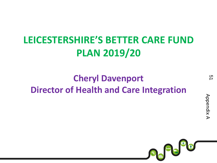## **LEICESTERSHIRE'S BETTER CARE FUND PLAN 2019/20**

## **Cheryl Davenport Director of Health and Care Integration**

<u>ር</u>

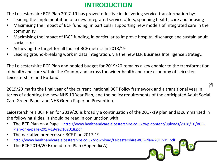#### **INTRODUCTION**

The Leicestershire BCF Plan 2017-19 has proved effective in delivering service transformation by:

- Leading the implementation of a new integrated service offers, spanning health, care and housing
- Maximising the impact of BCF funding, in particular supporting new models of integrated care in the community
- Maximising the impact of IBCF funding, in particular to improve hospital discharge and sustain adult social care
- Achieving the target for all four of BCF metrics in 2018/19
- Leading ground-breaking work in data integration, via the new LLR Business Intelligence Strategy.

The Leicestershire BCF Plan and pooled budget for 2019/20 remains a key enabler to the transformation of health and care within the County, and across the wider health and care economy of Leicester, Leicestershire and Rutland.

2019/20 marks the final year of the current national BCF Policy framework and a transitional year in terms of adopting the new NHS 10 Year Plan, and the policy requirements of the anticipated Adult Social Care Green Paper and NHS Green Paper on Prevention. 52

Leicestershire's BCF Plan for 2019/20 is broadly a continuation of the 2017-19 plan and is summarised in the following slides. It should be read in conjunction with:

- The BCF Plan on a Page [http://www.healthandcareleicestershire.co.uk/wp-content/uploads/2018/10/BCF-](http://www.healthandcareleicestershire.co.uk/wp-content/uploads/2018/10/BCF-Plan-on-a-page-2017-19-rev.102018.pdf)[Plan-on-a-page-2017-19-rev.102018.pdf](http://www.healthandcareleicestershire.co.uk/wp-content/uploads/2018/10/BCF-Plan-on-a-page-2017-19-rev.102018.pdf)
- The narrative predecessor BCF Plan 2017-19
- <http://www.healthandcareleicestershire.co.uk/download/Leicestershire-BCF-Plan-2017-19.pdf>
- The BCF 2019/20 Expenditure Plan (Appendix A)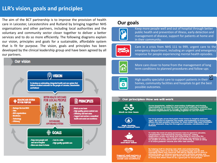#### **LLR's vision, goals and principles**

The aim of the BCT partnership is to improve the provision of health care in Leicester, Leicestershire and Rutland by bringing together NHS organisations and other partners, including local authorities and the voluntary and community sector closer together to deliver a better services and to do so more efficiently. The following diagrams explain our vision, principles and goals for a sustainable, affordable system that is fit for purpose. The vision, goals and principles has been developed by the clinical leadership group and have been agreed by all our partners.



#### **Our goals**



Keep more people well and out of hospital through better public health and prevention of illness, early detection and management of disease, support for patients at home and in their community.



Care in a crisis from NHS 111 to 999, urgent care to the emergency department, including an urgent and emergency response for people experiencing mental health episodes.



More care closer to home from the management of long term conditions to planned procedures and follow-ups



High quality specialist care to support patients in their  $\infty$ homes, community facilities and hospitals to get the best possible outcomes.

#### Our principles: How we will work



gh Quality





Across boundaries, united in overcoming challenges and sharing<br>responsibility to provide the best service and outcomes to patients.<br>We want people to move through the system seamlesty, unaware that<br>different organisations

For local people across that patch from home to hospital and back again. We want to maintain the health and wellbeing of local peoplessure the best possible outcomes for them when they need treatment or care, wherever they live throughout Leicester, Leicestershire and<br>Rutland.

To make the most of every pound we have to spend in Leicester,<br>Leicesterhire and Rutland by sharing resources, cutting<br>duplication, waste and delay and innovating to overcome the<br>challenges we face. This includes setting u IT to share patients' records and offer new services.

By helping staff to develop new skills and understanding,<br>encouraging them to be the best, promoting high morale and<br>managing talent and resources. We will be asking staff to work in ferent ways, in different places and with different people and<br>janisations. We want to give them the skills and set up the system In a way that allows them to do a great job for local people.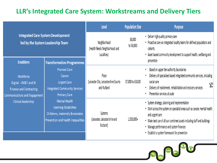#### **LLR's Integrated Care System: Workstreams and Delivery Tiers**

|                                                                                                                                     |                                                                                                                              | Level                                                           | <b>Population Size</b> | <b>Purpose</b>                                                                                                                                                                                                                                                                                                           |
|-------------------------------------------------------------------------------------------------------------------------------------|------------------------------------------------------------------------------------------------------------------------------|-----------------------------------------------------------------|------------------------|--------------------------------------------------------------------------------------------------------------------------------------------------------------------------------------------------------------------------------------------------------------------------------------------------------------------------|
| <b>Integrated Care System Development</b><br>led by the System Leadership Team                                                      |                                                                                                                              | Neighborhood<br>(Health Needs Neighborhood and<br>Localities)   | 30,000<br>to 50,000    | • Deliver high quality primary care<br>• Proactive care via integrated locality teams for defined populations and<br>cohorts<br>• Asset based community development to support health, wellbeing and<br>prevention                                                                                                       |
| <b>Enablers</b>                                                                                                                     | <b>Transformation Programmes</b>                                                                                             |                                                                 |                        |                                                                                                                                                                                                                                                                                                                          |
| Workforce<br>Digital - IM&T and BI<br><b>Finance and Contracting</b><br><b>Communications and Engagement</b><br>Clinical leadership | <b>Planned Care</b><br>Cancer<br><b>Urgent Care</b><br>Integrated Community Services<br><b>Primary Care</b>                  | Place<br>(Leicester City, Leicestershire County)<br>and Rutland | 37,000 to 610,00       | Based on upper tier authority boundaries<br>Delivery of specialised based integrated community services, including<br>social care<br>54<br>Delivery of reablement, rehabilitation and recovery services<br>Prevention services at scale                                                                                  |
|                                                                                                                                     | <b>Mental Health</b><br><b>Learning Disabilities</b><br>Childrens, maternity &neonates<br>Prevention and health inequalities | Systems<br>(Leicester, Leicestershire and<br>Rutland)           | 1,000,000+             | • System strategy, planning and implementation<br>• Work across the system on specialist areas such as cancer, mental health<br>and urgent care<br>• Make best use of all our combined assets including staff and buildings<br>• Manage performance and system finances<br>• Establish a system framework for prevention |

CHAPTER OF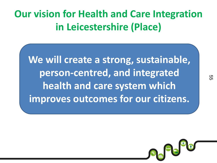# **Our vision for Health and Care Integration in Leicestershire (Place)**

**We will create a strong, sustainable, person-centred, and integrated health and care system which improves outcomes for our citizens.**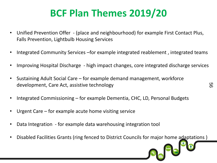## **BCF Plan Themes 2019/20**

- Unified Prevention Offer (place and neighbourhood) for example First Contact Plus, Falls Prevention, Lightbulb Housing Services
- Integrated Community Services –for example integrated reablement, integrated teams
- Improving Hospital Discharge high impact changes, core integrated discharge services
- Sustaining Adult Social Care for example demand management, workforce development, Care Act, assistive technology
- Integrated Commissioning for example Dementia, CHC, LD, Personal Budgets
- Urgent Care for example acute home visiting service
- Data Integration for example data warehousing integration tool
- Disabled Facilities Grants (ring fenced to District Councils for major home adaptations )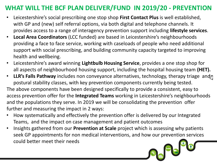#### **WHAT WILL THE BCF PLAN DELIVER/FUND IN 2019/20 - PREVENTION**

- Leicestershire's social prescribing one stop shop **First Contact Plus** is well established, with GP and (new) self referral options, via both digital and telephone channels. It provides access to a range of interagency prevention support including **lifestyle services**.
- **Local Area Coordinators** (LCC funded) are based in Leicestershire's neighbourhoods providing a face to face service, working with caseloads of people who need additional support with social prescribing, and building community capacity targeted to improving health and wellbeing.
- Leicestershire's award winning **Lightbulb Housing Service**, provides a one stop shop for all aspects of neighbourhood housing support, including the hospital housing team **(HET).**
- LLR's Falls Pathway includes non conveyance alternatives, technology, therapy triage and postural stability classes, with key prevention components currently being tested. The above components have been designed specifically to provide a consistent, easy to access prevention offer for the **Integrated Teams** working in Leicestershire's neighbourhoods and the populations they serve. In 2019 we will be consolidating the prevention offer further and measuring the impact in 2 ways:
- How systematically and effectively the prevention offer is delivered by our Integrated Teams, and the impact on case management and patient outcomes
- Insights gathered from our **Prevention at Scale** project which is assessing why patients seek GP appointments for non medical interventions, and how our prevention services could better meet their needs Se Pe<sup>op</sup>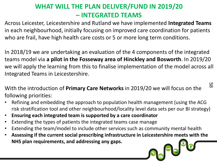### **WHAT WILL THE PLAN DELIVER/FUND IN 2019/20 – INTEGRATED TEAMS**

Across Leicester, Leicestershire and Rutland we have implemented **Integrated Teams**  in each neighbourhood, initially focusing on improved care coordination for patients who are frail, have high health care costs or 5 or more long term conditions.

In 2018/19 we are undertaking an evaluation of the 4 components of the integrated teams model via **a pilot in the Fosseway area of Hinckley and Bosworth**. In 2019/20 we will apply the learning from this to finalise implementation of the model across all Integrated Teams in Leicestershire.

With the introduction of **Primary Care Networks** in 2019/20 we will focus on the following priorities:

58

- Refining and embedding the approach to population health management (using the ACG risk stratification tool and other neighbourhood/locality level data sets per our BI strategy)
- **Ensuring each integrated team is supported by a care coordinator**
- Extending the types of patients the integrated teams case manage
- Extending the team/model to include other services such as community mental health
- **Assessing if the current social prescribing infrastructure in Leicestershire meets with the NHS plan requirements, and addressing any gaps.** Se Pe D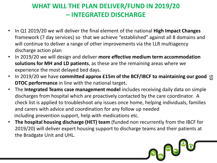### **WHAT WILL THE PLAN DELIVER/FUND IN 2019/20 – INTEGRATED DISCHARGE**

- In Q1 2019/20 we will deliver the final element of the national **High Impact Changes**  framework (7 day services) so that we achieve "established" against all 8 domains and will continue to deliver a range of other improvements via the LLR multiagency discharge action plan
- In 2019/20 we will design and deliver **more effective medium term accommodation solutions for MH and LD patients**, as these are the remaining areas where we experience the most delayed bed days.
- **•** In 2019/20 we have committed approx £15m of the BCF/IBCF to maintaining our good  $\omega$ **DTOC performance** in line with the national target**.**
- The **Integrated Teams case management model** includes receiving daily data on simple discharges from hospital which are proactively contacted by the care coordinator. A check list is applied to troubleshoot any issues once home, helping individuals, families and carers with advice and coordination for any follow up needed including prevention support, help with medications etc.
- **The hospital housing discharge (HET) team** (funded non recurrently from the IBCF for 2019/20) will deliver expert housing support to discharge teams and their patients at the Bradgate Unit and UHL.

Se Pe D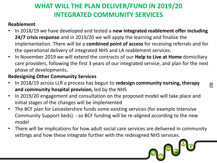## **WHAT WILL THE PLAN DELIVER/FUND IN 2019/20 INTEGRATED COMMUNITY SERVICES**

#### **Reablement**

- In 2018/19 we have developed and tested a **new integrated reablement offer including 24/7 crisis response** and in 2019/20 we will apply the learning and finalise the implementation. There will be a **combined point of access** for receiving referrals and for the operational delivery of integrated NHS and LA reablement services.
- In November 2019 we will extend the contracts of our **Help to Live at Home** domiciliary care providers, following the first 3 years of our integrated service, and plan for the next phase of developments.

#### **Redesigning Other Community Services**

- In 2018/19 across LLR a process has begun to **redesign community nursing, therapy and community hospital provision,** led by the NHS
- In 2019/20 engagement and consultation on the proposed model will take place and initial stages of the changes will be implemented
- The BCF plan for Leicestershire funds some existing services (for example Intensive Community Support beds) - so BCF funding will be re-aligned according to the new model
- There will be implications for how adult social care services are delivered in community settings and how these integrate further with the redesigned NHS services.

Se Pa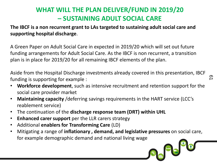#### **WHAT WILL THE PLAN DELIVER/FUND IN 2019/20 – SUSTAINING ADULT SOCIAL CARE**

**The IBCF is a non recurrent grant to LAs targeted to sustaining adult social care and supporting hospital discharge**.

A Green Paper on Adult Social Care in expected in 2019/20 which will set out future funding arrangements for Adult Social Care. As the IBCF is non recurrent, a transition plan is in place for 2019/20 for all remaining IBCF elements of the plan.

Aside from the Hospital Discharge investments already covered in this presentation, IBCF funding is supporting for example :

<u>တ</u>

September 19

- **Workforce development**, such as intensive recruitment and retention support for the social care provider market
- **Maintaining capacity** /deferring savings requirements in the HART service (LCC's reablement service)
- The continuation of the **discharge response team (DRT) within UHL**
- **Enhanced carer support** per the LLR carers strategy
- Additional **enablers for Transforming Care** (LD)
- Mitigating a range of **inflationary , demand, and legislative pressures** on social care, for example demographic demand and national living wage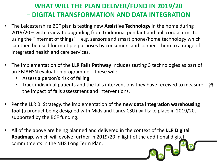### **WHAT WILL THE PLAN DELIVER/FUND IN 2019/20 – DIGITAL TRANSFORMATION AND DATA INTEGRATION**

- The Leicestershire BCF plan is testing new **Assistive Technology** in the home during 2019/20 – with a view to upgrading from traditional pendant and pull cord alarms to using the "internet of things" – e.g. sensors and smart phone/home technology which can then be used for multiple purposes by consumers and connect them to a range of integrated health and care services.
- The implementation of the **LLR Falls Pathway** includes testing 3 technologies as part of an EMAHSN evaluation programme – these will:
	- Assess a person's risk of falling
	- Track individual patients and the falls interventions they have received to measure the impact of falls assessment and interventions.  $\mathcal{E}$
- Per the LLR BI Strategy, the implementation of the **new data integration warehousing tool** (a product being designed with Mids and Lancs CSU) will take place in 2019/20, supported by the BCF funding.
- All of the above are being planned and delivered in the context of the **LLR Digital Roadmap**, which will evolve further in 2019/20 in light of the additional digital commitments in the NHS Long Term Plan.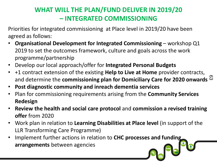### **WHAT WILL THE PLAN/FUND DELIVER IN 2019/20 – INTEGRATED COMMISSIONING**

Priorities for integrated commissioning at Place level in 2019/20 have been agreed as follows:

- **Organisational Development for Integrated Commissioning**  workshop Q1 2019 to set the outcomes framework, culture and goals across the work programme/partnership
- Develop our local approach/offer for **Integrated Personal Budgets**
- +1 contract extension of the existing **Help to Live at Home** provider contracts, and determine the **commissioning plan for Domiciliary Care for 2020 onwards**  $^{\circledR}$
- **Post diagnostic community and inreach dementia services**
- Plan for commissioning requirements arising from the **Community Services Redesign**
- **Review the health and social care protocol** and **commission a revised training offer** from 2020
- Work plan in relation to **Learning Disabilities at Place level** (in support of the LLR Transforming Care Programme)
- Implement further actions in relation to **CHC processes and funding arrangements** between agencies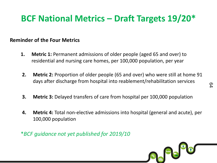## **BCF National Metrics – Draft Targets 19/20\***

#### **Reminder of the Four Metrics**

- **1. Metric 1:** Permanent admissions of older people (aged 65 and over) to residential and nursing care homes, per 100,000 population, per year
- **2. Metric 2:** Proportion of older people (65 and over) who were still at home 91 days after discharge from hospital into reablement/rehabilitation services
- **3. Metric 3:** Delayed transfers of care from hospital per 100,000 population
- **4. Metric 4:** Total non-elective admissions into hospital (general and acute), per 100,000 population

\**BCF guidance not yet published for 2019/10*



64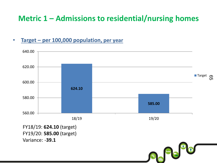## **Metric 1 – Admissions to residential/nursing homes**

#### • **Target – per 100,000 population, per year**



Se Pe

FY19/20: **585.00** (target) Variance: -**39.1**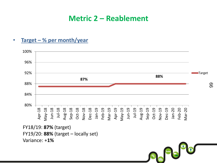### **Metric 2 – Reablement**





Se<sup>P</sup>S

FY18/19: **87%** (target) FY19/20: **88%** (target – locally set) Variance: +**1%**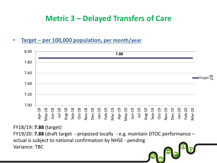## **Metric 3 – Delayed Transfers of Care**

#### • **Target – per 100,000 population, per month/year**



 $F_{\rm th}$ 

FY18/19: **7.88** (target)

FY19/20: **7.88** (draft target - proposed locally - e.g. maintain DTOC performance – actual is subject to national confirmation by NHSE - pending Variance: TBC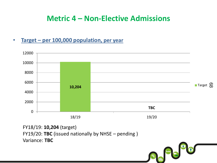## **Metric 4 – Non-Elective Admissions**

#### • **Target – per 100,000 population, per year**



Se Pe

FY18/19: **10,204** (target) FY19/20: **TBC** (issued nationally by NHSE – pending ) Variance: **TBC**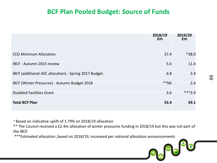#### **BCF Plan Pooled Budget: Source of Funds**

|                                                       | 2018/19<br>£m | 2019/20<br>£m |
|-------------------------------------------------------|---------------|---------------|
| <b>CCG Minimum Allocation</b>                         | 37.4          | *38.0         |
| <b>IBCF - Autumn 2015 review</b>                      | 5.6           | 11.4          |
| IBCF (additional ASC allocation) - Spring 2017 Budget | 6.8           | 3.4           |
| IBCF (Winter Pressures) - Autumn Budget 2018          | **Nil         | 2.4           |
| <b>Disabled Facilities Grant</b>                      | 3.6           | ***3.9        |
| <b>Total BCF Plan</b>                                 | 53.4          | 59.1          |

\* Based on indicative uplift of 1.79% on 2018/19 allocation

\*\* The Council received a £2.4m allocation of winter pressures funding in 2018/19 but this was not part of the IBCF.

\*\*\*Estimated allocation ,based on 2018/19, increased per national allocation announcements